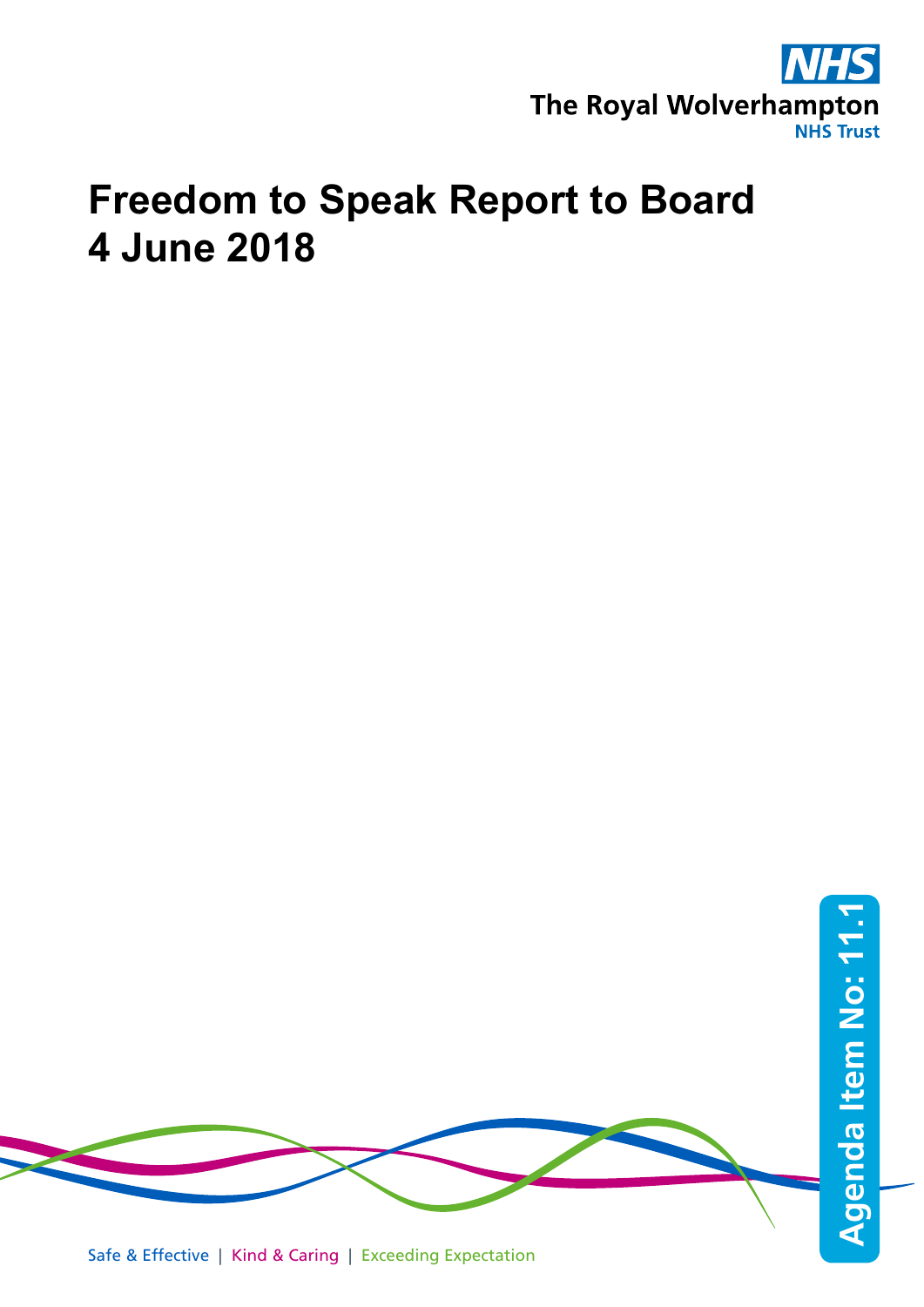

# **Freedom to Speak Report to Board 4 June 2018**

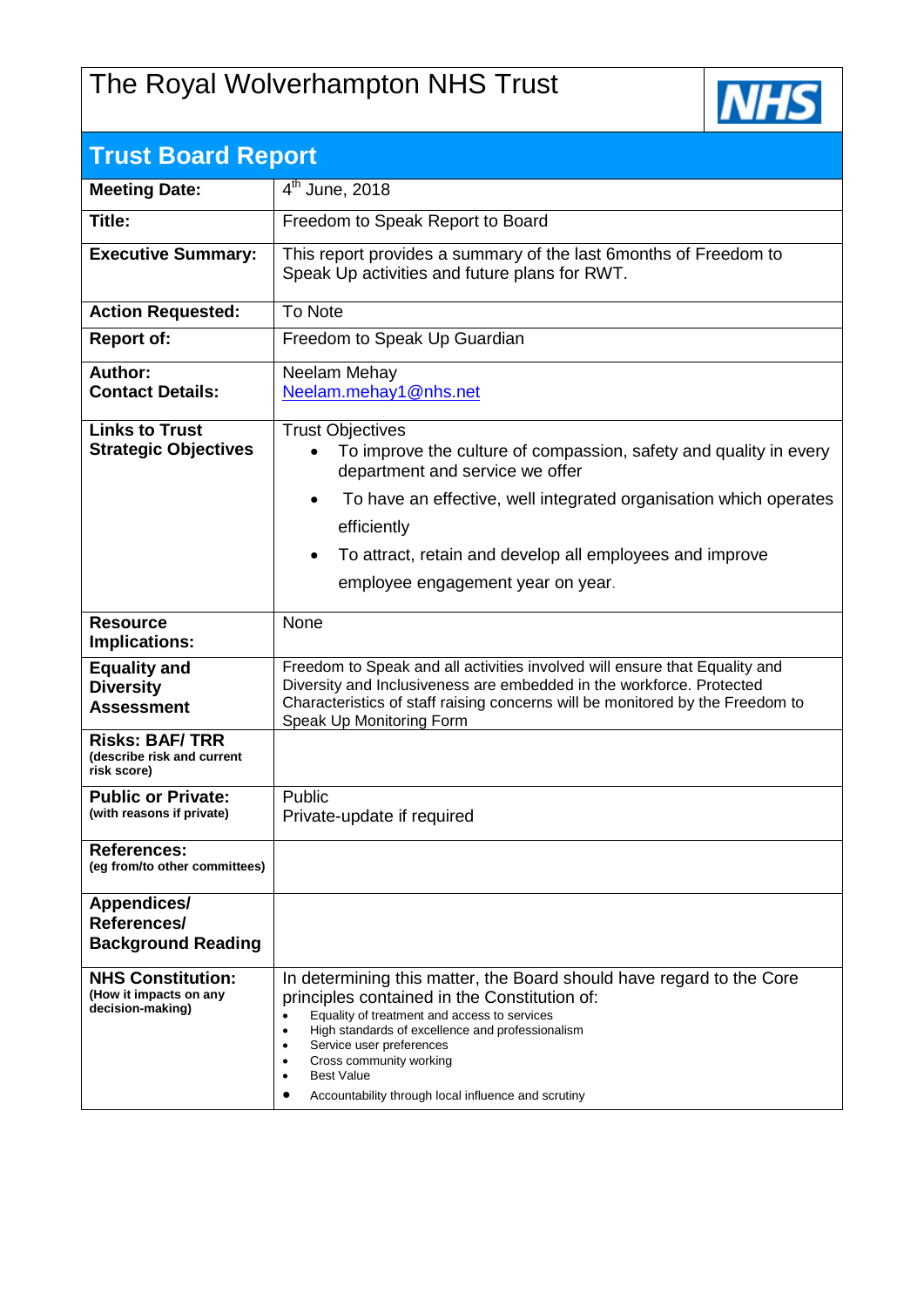## The Royal Wolverhampton NHS Trust



| <b>Trust Board Report</b>                                              |                                                                                                                                                                                                                                                                                                                                                                          |  |  |  |  |
|------------------------------------------------------------------------|--------------------------------------------------------------------------------------------------------------------------------------------------------------------------------------------------------------------------------------------------------------------------------------------------------------------------------------------------------------------------|--|--|--|--|
| <b>Meeting Date:</b>                                                   | $4th$ June, 2018                                                                                                                                                                                                                                                                                                                                                         |  |  |  |  |
| Title:                                                                 | Freedom to Speak Report to Board                                                                                                                                                                                                                                                                                                                                         |  |  |  |  |
| <b>Executive Summary:</b>                                              | This report provides a summary of the last 6months of Freedom to<br>Speak Up activities and future plans for RWT.                                                                                                                                                                                                                                                        |  |  |  |  |
| <b>Action Requested:</b>                                               | To Note                                                                                                                                                                                                                                                                                                                                                                  |  |  |  |  |
| <b>Report of:</b>                                                      | Freedom to Speak Up Guardian                                                                                                                                                                                                                                                                                                                                             |  |  |  |  |
| Author:<br><b>Contact Details:</b>                                     | Neelam Mehay<br>Neelam.mehay1@nhs.net                                                                                                                                                                                                                                                                                                                                    |  |  |  |  |
|                                                                        |                                                                                                                                                                                                                                                                                                                                                                          |  |  |  |  |
| <b>Links to Trust</b><br><b>Strategic Objectives</b>                   | <b>Trust Objectives</b><br>To improve the culture of compassion, safety and quality in every<br>$\bullet$<br>department and service we offer                                                                                                                                                                                                                             |  |  |  |  |
|                                                                        | To have an effective, well integrated organisation which operates<br>$\bullet$                                                                                                                                                                                                                                                                                           |  |  |  |  |
|                                                                        | efficiently                                                                                                                                                                                                                                                                                                                                                              |  |  |  |  |
|                                                                        | To attract, retain and develop all employees and improve<br>$\bullet$                                                                                                                                                                                                                                                                                                    |  |  |  |  |
|                                                                        | employee engagement year on year.                                                                                                                                                                                                                                                                                                                                        |  |  |  |  |
| <b>Resource</b><br>Implications:                                       | None                                                                                                                                                                                                                                                                                                                                                                     |  |  |  |  |
| <b>Equality and</b><br><b>Diversity</b><br><b>Assessment</b>           | Freedom to Speak and all activities involved will ensure that Equality and<br>Diversity and Inclusiveness are embedded in the workforce. Protected<br>Characteristics of staff raising concerns will be monitored by the Freedom to<br>Speak Up Monitoring Form                                                                                                          |  |  |  |  |
| <b>Risks: BAF/TRR</b><br>(describe risk and current<br>risk score)     |                                                                                                                                                                                                                                                                                                                                                                          |  |  |  |  |
| <b>Public or Private:</b><br>(with reasons if private)                 | Public<br>Private-update if required                                                                                                                                                                                                                                                                                                                                     |  |  |  |  |
| <b>References:</b><br>(eq from/to other committees)                    |                                                                                                                                                                                                                                                                                                                                                                          |  |  |  |  |
| <b>Appendices/</b><br>References/<br><b>Background Reading</b>         |                                                                                                                                                                                                                                                                                                                                                                          |  |  |  |  |
| <b>NHS Constitution:</b><br>(How it impacts on any<br>decision-making) | In determining this matter, the Board should have regard to the Core<br>principles contained in the Constitution of:<br>Equality of treatment and access to services<br>$\bullet$<br>High standards of excellence and professionalism<br>Service user preferences<br>Cross community working<br><b>Best Value</b><br>Accountability through local influence and scrutiny |  |  |  |  |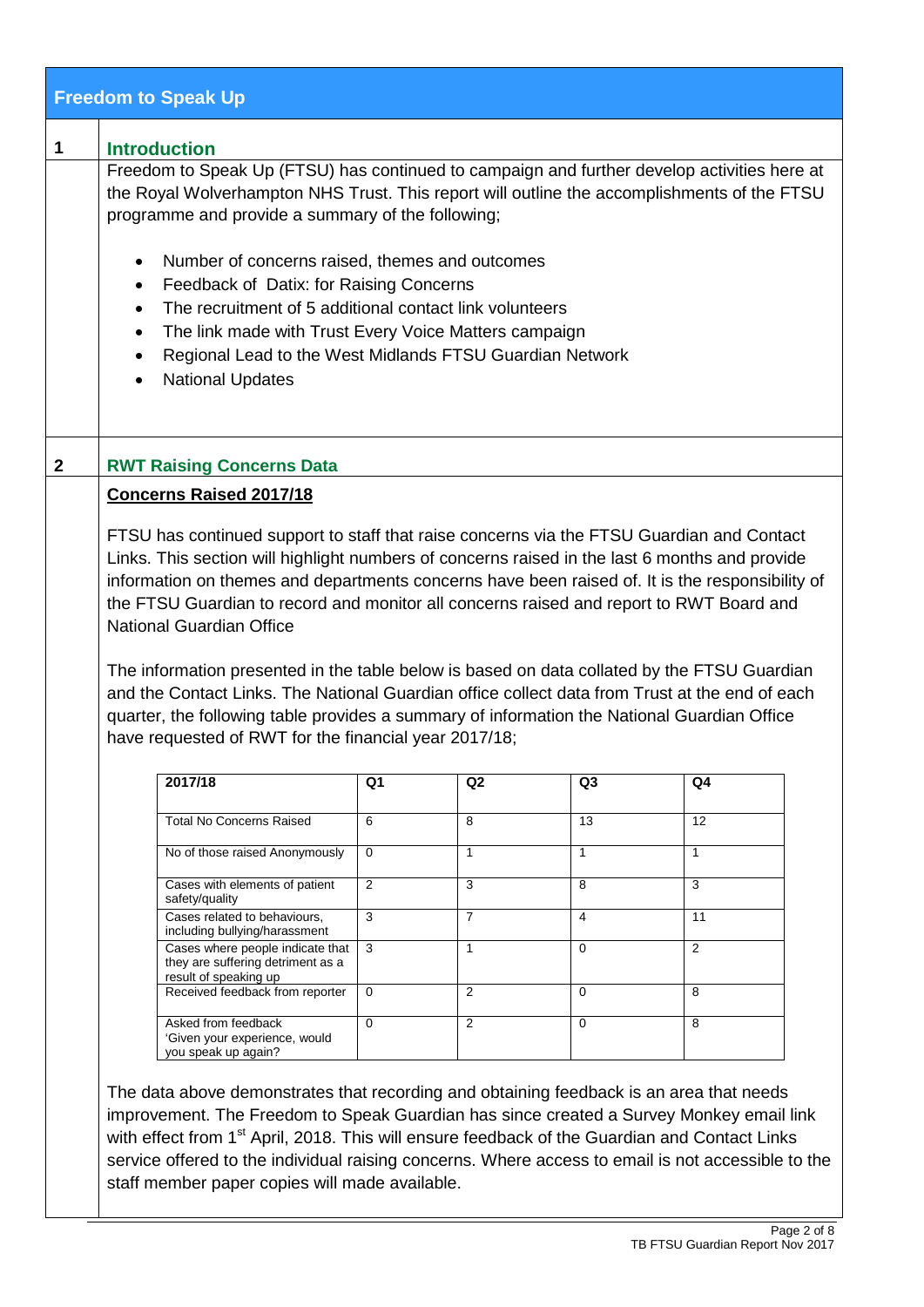|              | <b>Freedom to Speak Up</b>                                                                                                                                                                                                                      |                |                |                |                |  |  |
|--------------|-------------------------------------------------------------------------------------------------------------------------------------------------------------------------------------------------------------------------------------------------|----------------|----------------|----------------|----------------|--|--|
| 1            | <b>Introduction</b>                                                                                                                                                                                                                             |                |                |                |                |  |  |
|              | Freedom to Speak Up (FTSU) has continued to campaign and further develop activities here at<br>the Royal Wolverhampton NHS Trust. This report will outline the accomplishments of the FTSU<br>programme and provide a summary of the following; |                |                |                |                |  |  |
|              | Number of concerns raised, themes and outcomes<br>$\bullet$<br>Feedback of Datix: for Raising Concerns<br>$\bullet$                                                                                                                             |                |                |                |                |  |  |
|              | The recruitment of 5 additional contact link volunteers<br>$\bullet$                                                                                                                                                                            |                |                |                |                |  |  |
|              | The link made with Trust Every Voice Matters campaign<br>$\bullet$<br>Regional Lead to the West Midlands FTSU Guardian Network<br>$\bullet$                                                                                                     |                |                |                |                |  |  |
|              | <b>National Updates</b><br>$\bullet$                                                                                                                                                                                                            |                |                |                |                |  |  |
|              |                                                                                                                                                                                                                                                 |                |                |                |                |  |  |
| $\mathbf{2}$ | <b>RWT Raising Concerns Data</b>                                                                                                                                                                                                                |                |                |                |                |  |  |
|              | <b>Concerns Raised 2017/18</b>                                                                                                                                                                                                                  |                |                |                |                |  |  |
|              | FTSU has continued support to staff that raise concerns via the FTSU Guardian and Contact                                                                                                                                                       |                |                |                |                |  |  |
|              | Links. This section will highlight numbers of concerns raised in the last 6 months and provide<br>information on themes and departments concerns have been raised of. It is the responsibility of                                               |                |                |                |                |  |  |
|              | the FTSU Guardian to record and monitor all concerns raised and report to RWT Board and                                                                                                                                                         |                |                |                |                |  |  |
|              | <b>National Guardian Office</b>                                                                                                                                                                                                                 |                |                |                |                |  |  |
|              | The information presented in the table below is based on data collated by the FTSU Guardian                                                                                                                                                     |                |                |                |                |  |  |
|              | and the Contact Links. The National Guardian office collect data from Trust at the end of each<br>quarter, the following table provides a summary of information the National Guardian Office                                                   |                |                |                |                |  |  |
|              | have requested of RWT for the financial year 2017/18;                                                                                                                                                                                           |                |                |                |                |  |  |
|              | 2017/18                                                                                                                                                                                                                                         | Q1             | Q <sub>2</sub> | Q <sub>3</sub> | Q4             |  |  |
|              | <b>Total No Concerns Raised</b>                                                                                                                                                                                                                 | 6              | 8              | 13             | 12             |  |  |
|              | No of those raised Anonymously                                                                                                                                                                                                                  | $\mathbf 0$    | $\mathbf{1}$   | $\mathbf{1}$   | $\mathbf{1}$   |  |  |
|              | Cases with elements of patient<br>safety/quality                                                                                                                                                                                                | $\overline{2}$ | 3              | 8              | 3              |  |  |
|              | Cases related to behaviours,<br>including bullying/harassment                                                                                                                                                                                   | $\mathbf{3}$   | 7              | $\overline{4}$ | 11             |  |  |
|              | Cases where people indicate that<br>they are suffering detriment as a<br>result of speaking up                                                                                                                                                  | 3              | $\mathbf{1}$   | $\Omega$       | $\overline{2}$ |  |  |
|              | Received feedback from reporter                                                                                                                                                                                                                 | $\mathbf 0$    | 2              | $\mathbf 0$    | 8              |  |  |
|              | Asked from feedback<br>'Given your experience, would<br>you speak up again?                                                                                                                                                                     | $\Omega$       | 2              | $\Omega$       | 8              |  |  |
|              | The data above demonstrates that recording and obtaining feedback is an area that needs                                                                                                                                                         |                |                |                |                |  |  |
|              | improvement. The Freedom to Speak Guardian has since created a Survey Monkey email link                                                                                                                                                         |                |                |                |                |  |  |
|              | with effect from 1 <sup>st</sup> April, 2018. This will ensure feedback of the Guardian and Contact Links<br>service offered to the individual raising concerns. Where access to email is not accessible to the                                 |                |                |                |                |  |  |
|              | staff member paper copies will made available.                                                                                                                                                                                                  |                |                |                |                |  |  |
|              |                                                                                                                                                                                                                                                 |                |                |                |                |  |  |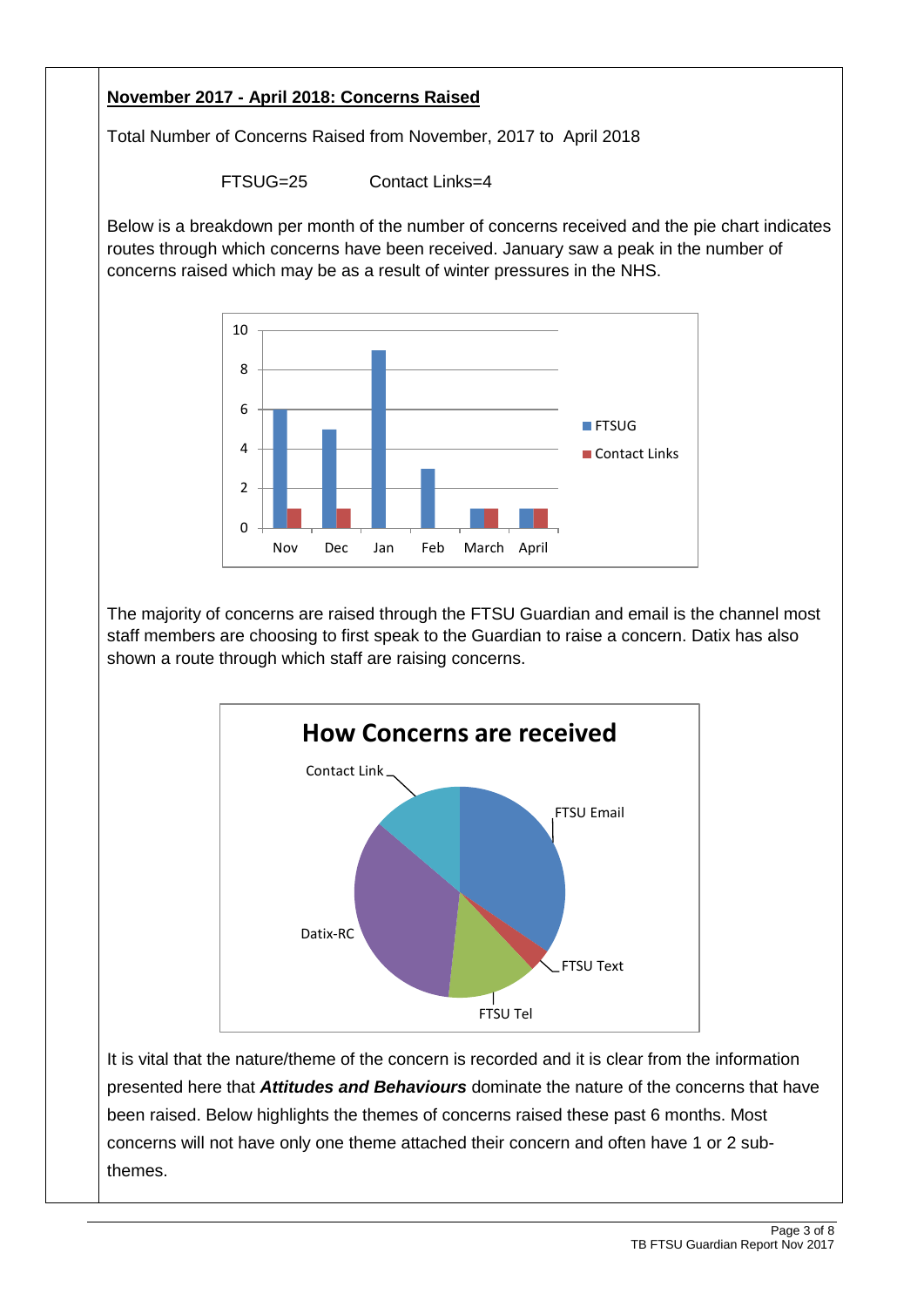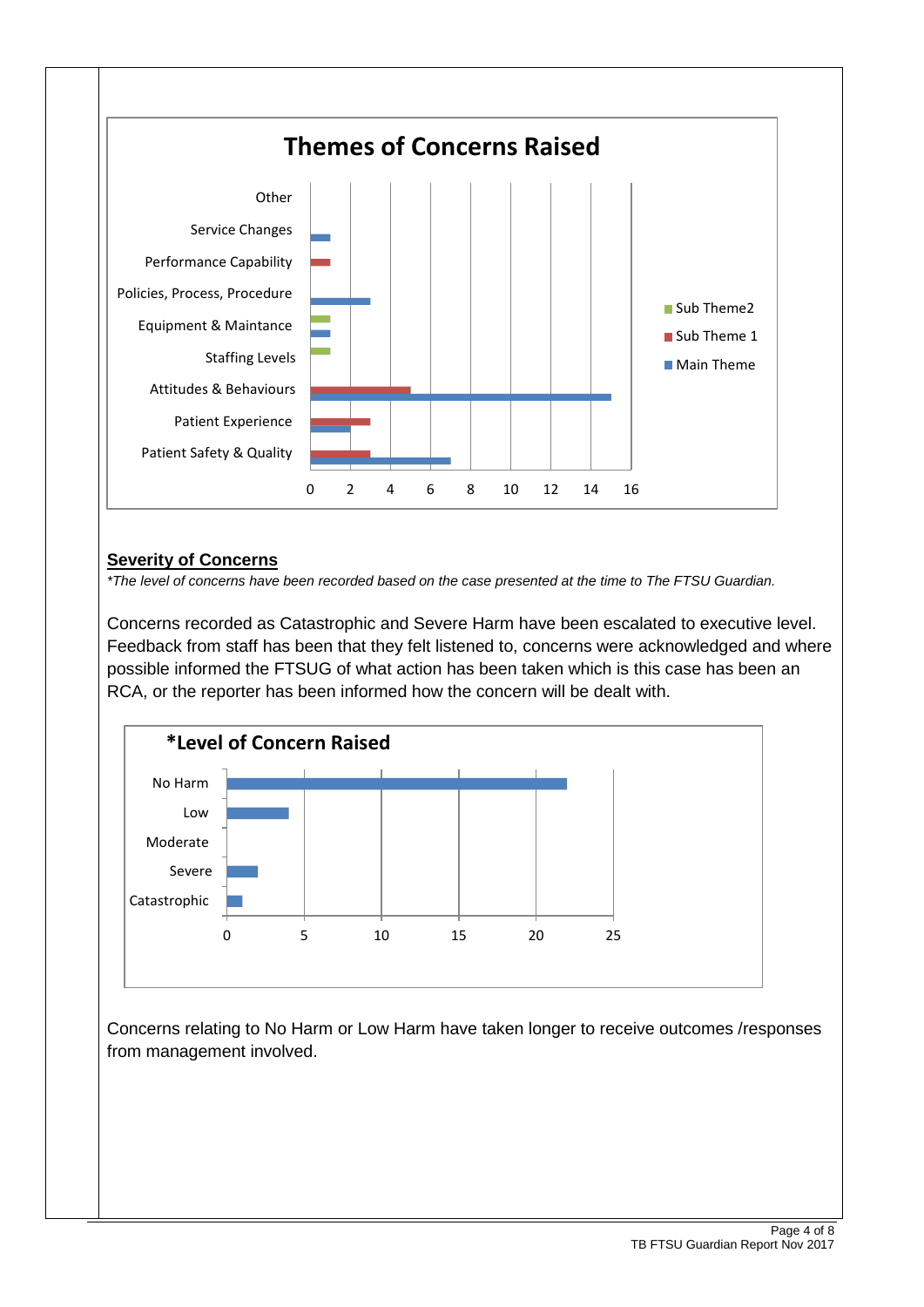

#### **Severity of Concerns**

*\*The level of concerns have been recorded based on the case presented at the time to The FTSU Guardian.*

Concerns recorded as Catastrophic and Severe Harm have been escalated to executive level. Feedback from staff has been that they felt listened to, concerns were acknowledged and where possible informed the FTSUG of what action has been taken which is this case has been an RCA, or the reporter has been informed how the concern will be dealt with.



Concerns relating to No Harm or Low Harm have taken longer to receive outcomes /responses from management involved.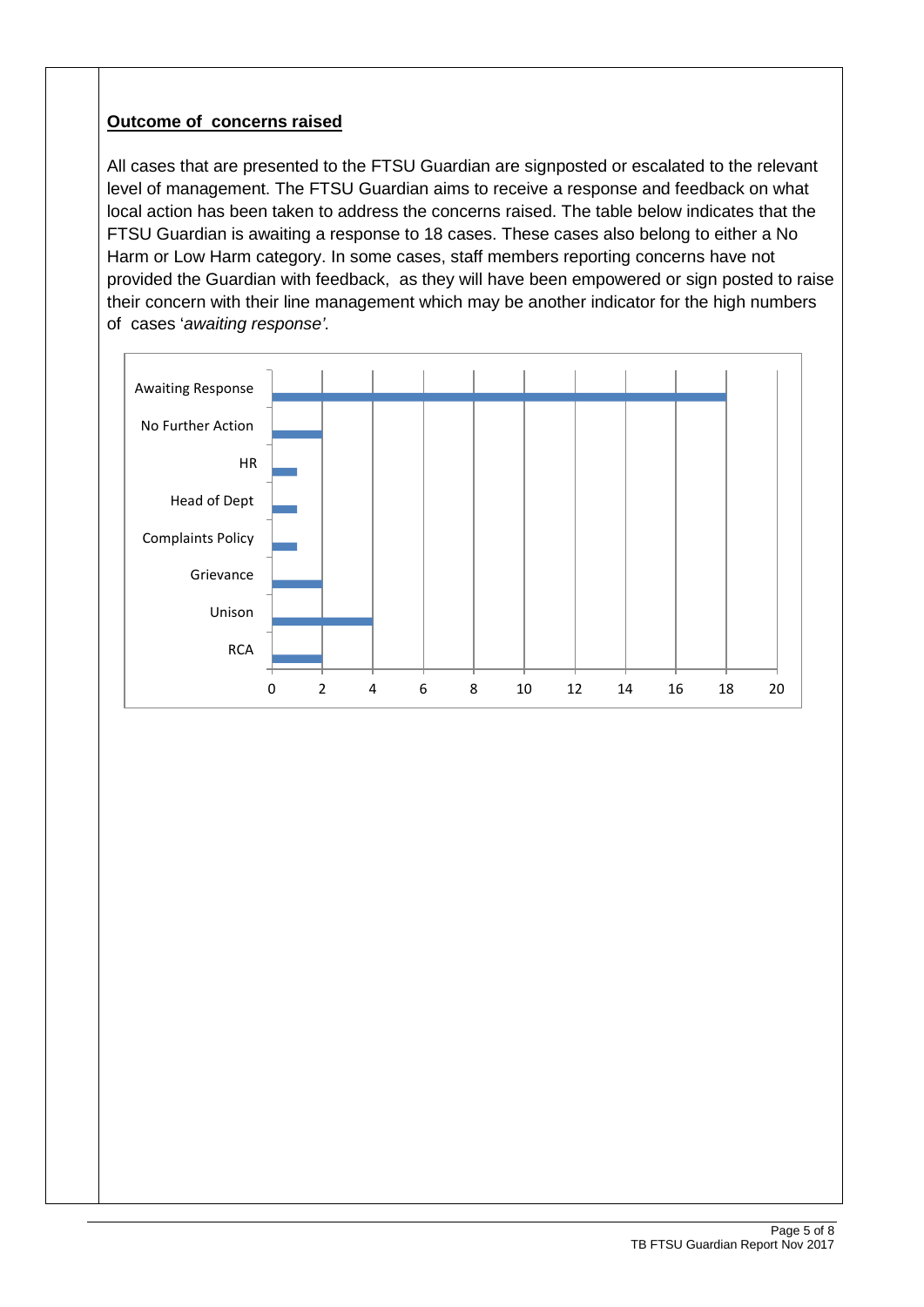#### **Outcome of concerns raised**

All cases that are presented to the FTSU Guardian are signposted or escalated to the relevant level of management. The FTSU Guardian aims to receive a response and feedback on what local action has been taken to address the concerns raised. The table below indicates that the FTSU Guardian is awaiting a response to 18 cases. These cases also belong to either a No Harm or Low Harm category. In some cases, staff members reporting concerns have not provided the Guardian with feedback, as they will have been empowered or sign posted to raise their concern with their line management which may be another indicator for the high numbers of cases '*awaiting response'.*

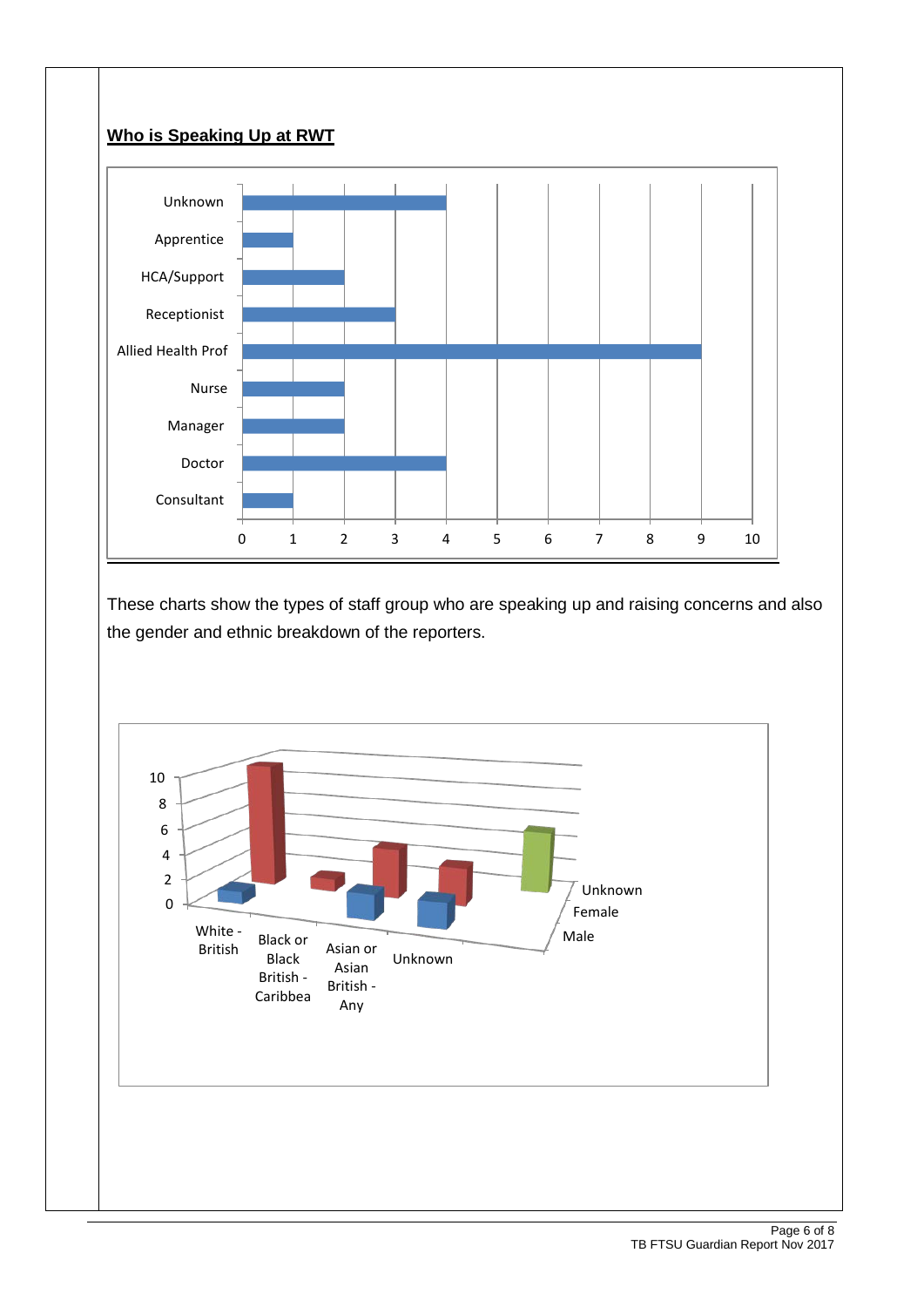



These charts show the types of staff group who are speaking up and raising concerns and also the gender and ethnic breakdown of the reporters.

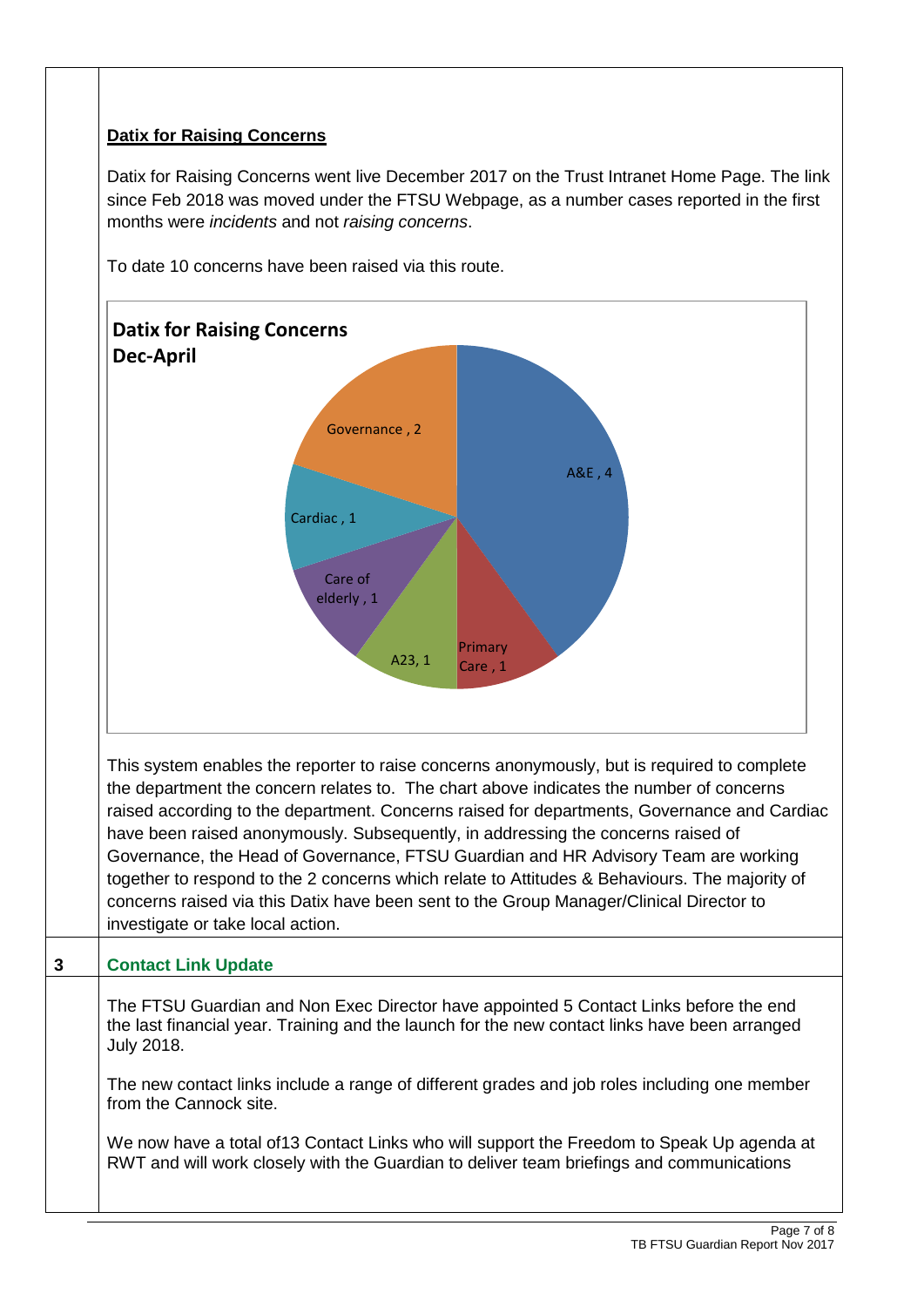### **Datix for Raising Concerns**

Datix for Raising Concerns went live December 2017 on the Trust Intranet Home Page. The link since Feb 2018 was moved under the FTSU Webpage, as a number cases reported in the first months were *incidents* and not *raising concerns*.



To date 10 concerns have been raised via this route.